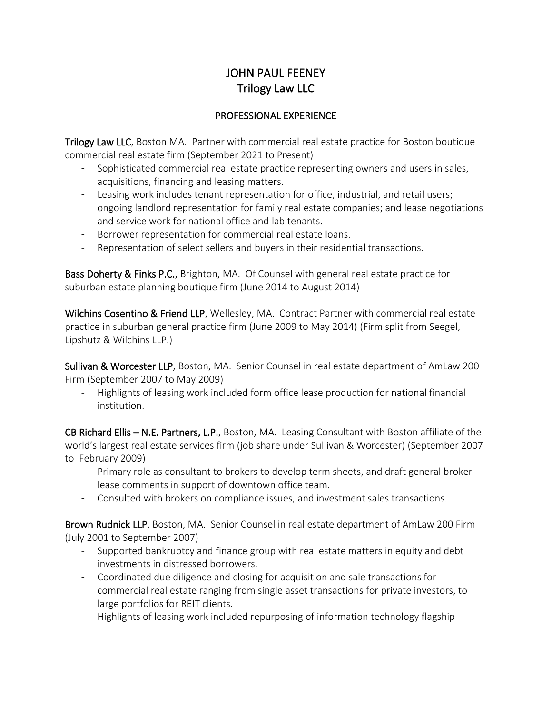# JOHN PAUL FEENEY Trilogy Law LLC

## PROFESSIONAL EXPERIENCE

Trilogy Law LLC, Boston MA. Partner with commercial real estate practice for Boston boutique commercial real estate firm (September 2021 to Present)

- Sophisticated commercial real estate practice representing owners and users in sales, acquisitions, financing and leasing matters.
- Leasing work includes tenant representation for office, industrial, and retail users; ongoing landlord representation for family real estate companies; and lease negotiations and service work for national office and lab tenants.
- Borrower representation for commercial real estate loans.
- Representation of select sellers and buyers in their residential transactions.

Bass Doherty & Finks P.C., Brighton, MA. Of Counsel with general real estate practice for suburban estate planning boutique firm (June 2014 to August 2014)

Wilchins Cosentino & Friend LLP, Wellesley, MA. Contract Partner with commercial real estate practice in suburban general practice firm (June 2009 to May 2014) (Firm split from Seegel, Lipshutz & Wilchins LLP.)

Sullivan & Worcester LLP, Boston, MA. Senior Counsel in real estate department of AmLaw 200 Firm (September 2007 to May 2009)

- Highlights of leasing work included form office lease production for national financial institution.

CB Richard Ellis – N.E. Partners, L.P., Boston, MA. Leasing Consultant with Boston affiliate of the world's largest real estate services firm (job share under Sullivan & Worcester) (September 2007 to February 2009)

- Primary role as consultant to brokers to develop term sheets, and draft general broker lease comments in support of downtown office team.
- Consulted with brokers on compliance issues, and investment sales transactions.

Brown Rudnick LLP, Boston, MA. Senior Counsel in real estate department of AmLaw 200 Firm (July 2001 to September 2007)

- Supported bankruptcy and finance group with real estate matters in equity and debt investments in distressed borrowers.
- Coordinated due diligence and closing for acquisition and sale transactions for commercial real estate ranging from single asset transactions for private investors, to large portfolios for REIT clients.
- Highlights of leasing work included repurposing of information technology flagship